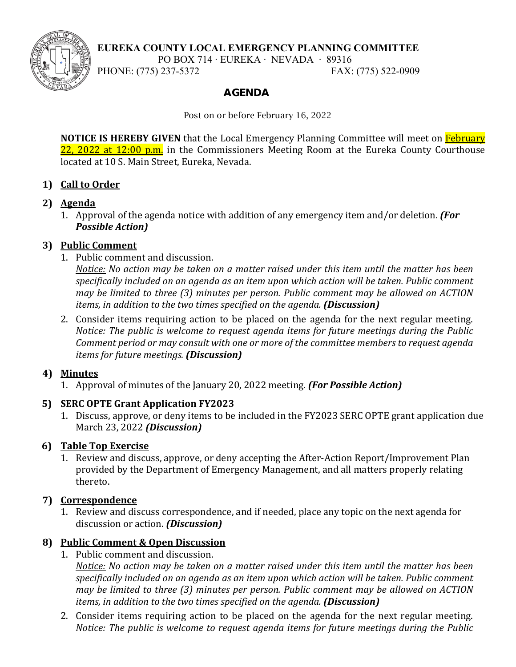

## **EUREKA COUNTY LOCAL EMERGENCY PLANNING COMMITTEE**

PO BOX 714 ∙ EUREKA ∙ NEVADA ∙ 89316

PHONE: (775) 237-5372 FAX: (775) 522-0909

## AGENDA

Post on or before February 16, 2022

**NOTICE IS HEREBY GIVEN** that the Local Emergency Planning Committee will meet on **February** 22, 2022 at 12:00 p.m. in the Commissioners Meeting Room at the Eureka County Courthouse located at 10 S. Main Street, Eureka, Nevada.

## **1) Call to Order**

# **2) Agenda**

1. Approval of the agenda notice with addition of any emergency item and/or deletion. *(For Possible Action)*

# **3) Public Comment**

1. Public comment and discussion.

*Notice: No action may be taken on a matter raised under this item until the matter has been specifically included on an agenda as an item upon which action will be taken. Public comment may be limited to three (3) minutes per person. Public comment may be allowed on ACTION items, in addition to the two times specified on the agenda. <i>(Discussion)* 

2. Consider items requiring action to be placed on the agenda for the next regular meeting. *Notice: The public is welcome to request agenda items for future meetings during the Public Comment period or may consult with one or more of the committee members to request agenda items for future meetings. (Discussion)*

## **4) Minutes**

1. Approval of minutes of the January 20, 2022 meeting. *(For Possible Action)*

## **5) SERC OPTE Grant Application FY2023**

1. Discuss, approve, or deny items to be included in the FY2023 SERC OPTE grant application due March 23, 2022 *(Discussion)*

# **6) Table Top Exercise**

1. Review and discuss, approve, or deny accepting the After-Action Report/Improvement Plan provided by the Department of Emergency Management, and all matters properly relating thereto.

# **7) Correspondence**

1. Review and discuss correspondence, and if needed, place any topic on the next agenda for discussion or action. *(Discussion)*

## **8) Public Comment & Open Discussion**

1. Public comment and discussion.

*Notice: No action may be taken on a matter raised under this item until the matter has been specifically included on an agenda as an item upon which action will be taken. Public comment may be limited to three (3) minutes per person. Public comment may be allowed on ACTION items, in addition to the two times specified on the agenda. (Discussion)*

2. Consider items requiring action to be placed on the agenda for the next regular meeting. *Notice: The public is welcome to request agenda items for future meetings during the Public*